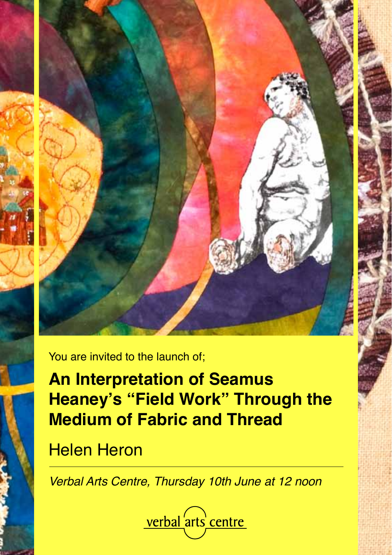

You are invited to the launch of;

**An Interpretation of Seamus Heaney's "Field Work" Through the Medium of Fabric and Thread**

Helen Heron

Verbal Arts Centre, Thursday 10th June at 12 noon

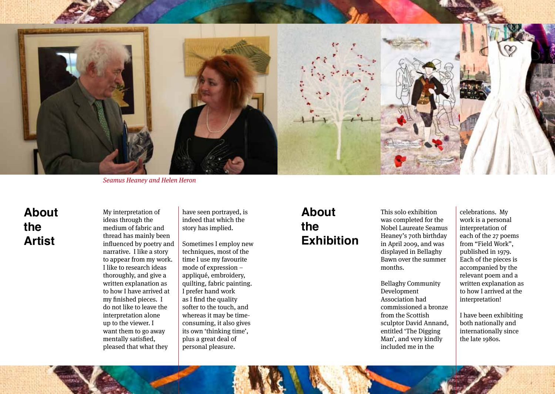

Seamus Heaney and Helen Heron

# **About the Artist**

My interpretation of ideas through the medium of fabric and thread has mainly been influenced by poetry and narrative. I like a story to appear from my work. I like to research ideas thoroughly, and give a written explanation as to how I have arrived at my finished pieces. I do not like to leave the interpretation alone up to the viewer. I want them to go away mentally satisfied, pleased that what they

have seen portrayed, is indeed that which the story has implied.

Sometimes I employ new techniques, most of the time I use my favourite mode of expression – appliqué, embroidery, quilting, fabric painting. I prefer hand work as I find the quality softer to the touch, and whereas it may be timeconsuming, it also gives its own 'thinking time', plus a great deal of personal pleasure.

# **About the Exhibition**

This solo exhibition was completed for the Nobel Laureate Seamus Heaney's 70th birthday in April 2009, and was displayed in Bellaghy Bawn over the summer months.

Bellaghy Community Development Association had commissioned a bronze from the Scottish sculptor David Annand, entitled 'The Digging Man', and very kindly included me in the

celebrations. My work is a personal interpretation of each of the 27 poems from "Field Work", published in 1979. Each of the pieces is accompanied by the relevant poem and a written explanation as to how I arrived at the interpretation!

I have been exhibiting both nationally and internationally since the late 1980s.